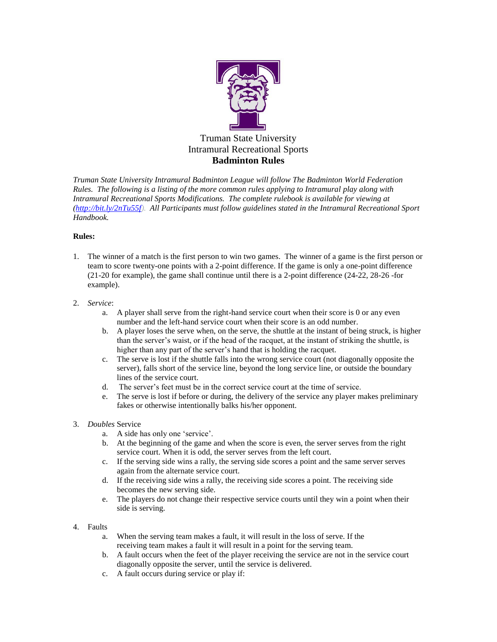

## Truman State University Intramural Recreational Sports **Badminton Rules**

*Truman State University Intramural Badminton League will follow The Badminton World Federation Rules. The following is a listing of the more common rules applying to Intramural play along with Intramural Recreational Sports Modifications. The complete rulebook is available for viewing at [\(http://bit.ly/2nTu55f\)](http://bit.ly/2nTu55f). All Participants must follow guidelines stated in the Intramural Recreational Sport Handbook.*

## **Rules:**

- 1. The winner of a match is the first person to win two games. The winner of a game is the first person or team to score twenty-one points with a 2-point difference. If the game is only a one-point difference (21-20 for example), the game shall continue until there is a 2-point difference (24-22, 28-26 -for example).
- 2. *Service*:
	- a. A player shall serve from the right-hand service court when their score is 0 or any even number and the left-hand service court when their score is an odd number.
	- b. A player loses the serve when, on the serve, the shuttle at the instant of being struck, is higher than the server's waist, or if the head of the racquet, at the instant of striking the shuttle, is higher than any part of the server's hand that is holding the racquet.
	- c. The serve is lost if the shuttle falls into the wrong service court (not diagonally opposite the server), falls short of the service line, beyond the long service line, or outside the boundary lines of the service court.
	- d. The server's feet must be in the correct service court at the time of service.
	- e. The serve is lost if before or during, the delivery of the service any player makes preliminary fakes or otherwise intentionally balks his/her opponent.
- 3. *Doubles* Service
	- a. A side has only one 'service'.
	- b. At the beginning of the game and when the score is even, the server serves from the right service court. When it is odd, the server serves from the left court.
	- c. If the serving side wins a rally, the serving side scores a point and the same server serves again from the alternate service court.
	- d. If the receiving side wins a rally, the receiving side scores a point. The receiving side becomes the new serving side.
	- e. The players do not change their respective service courts until they win a point when their side is serving.
- 4. Faults
	- a. When the serving team makes a fault, it will result in the loss of serve. If the receiving team makes a fault it will result in a point for the serving team.
	- b. A fault occurs when the feet of the player receiving the service are not in the service court diagonally opposite the server, until the service is delivered.
	- c. A fault occurs during service or play if: